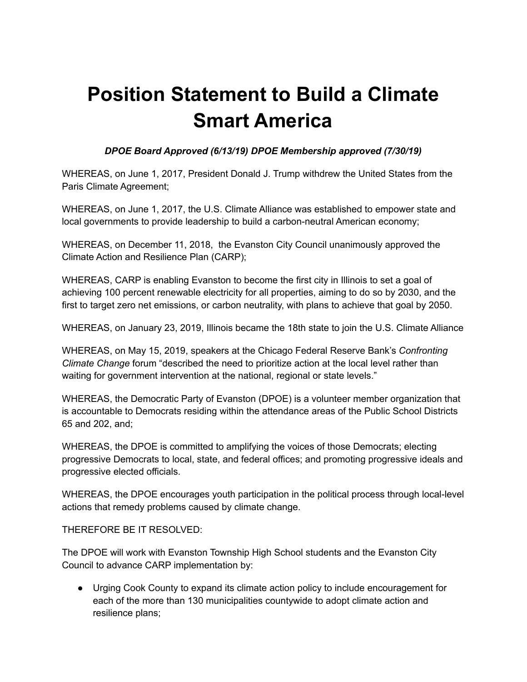## **Position Statement to Build a Climate Smart America**

## *DPOE Board Approved (6/13/19) DPOE Membership approved (7/30/19)*

WHEREAS, on June 1, 2017, President Donald J. Trump withdrew the United States from the Paris Climate Agreement;

WHEREAS, on June 1, 2017, the U.S. Climate Alliance was established to empower state and local governments to provide leadership to build a carbon-neutral American economy;

WHEREAS, on December 11, 2018, the Evanston City Council unanimously approved the Climate Action and Resilience Plan (CARP);

WHEREAS, CARP is enabling Evanston to become the first city in Illinois to set a goal of achieving 100 percent renewable electricity for all properties, aiming to do so by 2030, and the first to target zero net emissions, or carbon neutrality, with plans to achieve that goal by 2050.

WHEREAS, on January 23, 2019, Illinois became the 18th state to join the U.S. Climate Alliance

WHEREAS, on May 15, 2019, speakers at the Chicago Federal Reserve Bank's *Confronting Climate Change* forum "described the need to prioritize action at the local level rather than waiting for government intervention at the national, regional or state levels."

WHEREAS, the Democratic Party of Evanston (DPOE) is a volunteer member organization that is accountable to Democrats residing within the attendance areas of the Public School Districts 65 and 202, and;

WHEREAS, the DPOE is committed to amplifying the voices of those Democrats; electing progressive Democrats to local, state, and federal offices; and promoting progressive ideals and progressive elected officials.

WHEREAS, the DPOE encourages youth participation in the political process through local-level actions that remedy problems caused by climate change.

THEREFORE BE IT RESOLVED:

The DPOE will work with Evanston Township High School students and the Evanston City Council to advance CARP implementation by:

● Urging Cook County to expand its climate action policy to include encouragement for each of the more than 130 municipalities countywide to adopt climate action and resilience plans;